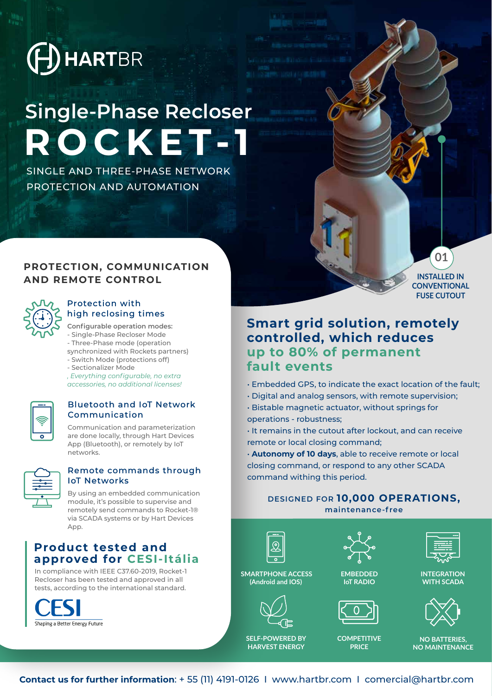

# **ROCKET-1 Single-Phase Recloser**

SINGLE AND THREE-PHASE NETWORK PROTECTION AND AUTOMATION

# **PROTECTION, COMMUNICATION AND REMOTE CONTROL**



#### Protection with high reclosing times

**Configurable operation modes:**

- Single-Phase Recloser Mode
- Three-Phase mode (operation
- synchronized with Rockets partners)
- Switch Mode (protections off)
- Sectionalizer Mode

*, Everything configurable, no extra accessories, no additional licenses!*

### Bluetooth and IoT Network Communication

Communication and parameterization are done locally, through Hart Devices App (Bluetooth), or remotely by IoT networks.

| ÷. |  |
|----|--|
| ٠  |  |
|    |  |

#### Remote commands through IoT Networks

By using an embedded communication module, it's possible to supervise and remotely send commands to Rocket-1® via SCADA systems or by Hart Devices App.

# **Product tested and approved for CESI-Itália**

In compliance with IEEE C37.60-2019, Rocket-1 Recloser has been tested and approved in all tests, according to the international standard.



**INSTALLED IN** 

**01**

**CONVENTIONAL FUSE CUTOUT** 

# **Smart grid solution, remotely controlled, which reduces up to 80% of permanent fault events**

• Embedded GPS, to indicate the exact location of the fault;

- Digital and analog sensors, with remote supervision;
- Bistable magnetic actuator, without springs for
- operations robustness;
- It remains in the cutout after lockout, and can receive remote or local closing command;

• **Autonomy of 10 days**, able to receive remote or local closing command, or respond to any other SCADA command withing this period.

# **DESIGNED FOR 10,000 OPERATIONS, maintenance-free**



**(Android and IOS)**

**SELF-POWERED BY HARVEST ENERGY** 









**COMPETITIVE PRICE**



**INTEGRATION WITH SCADA**



**NO BATTERIES, NO MAINTENANCE**